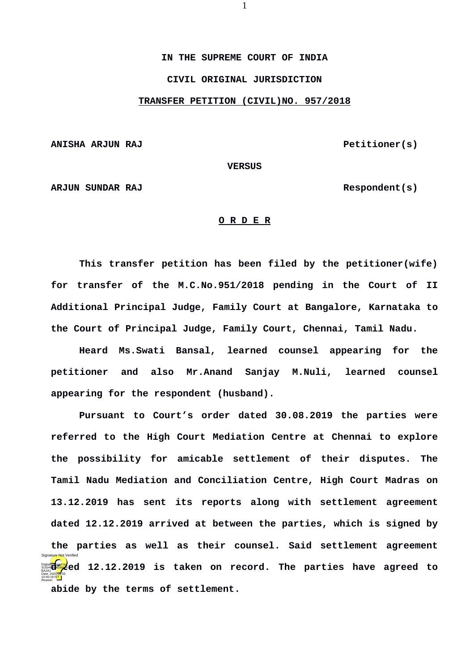**IN THE SUPREME COURT OF INDIA CIVIL ORIGINAL JURISDICTION**

**TRANSFER PETITION (CIVIL)NO. 957/2018**

ANISHA ARJUN RAJ **Petitioner(s)** 

**VERSUS**

**ARJUN SUNDAR RAJ** Respondent(s)

## **O R D E R**

**This transfer petition has been filed by the petitioner(wife) for transfer of the M.C.No.951/2018 pending in the Court of II Additional Principal Judge, Family Court at Bangalore, Karnataka to the Court of Principal Judge, Family Court, Chennai, Tamil Nadu.**

**Heard Ms.Swati Bansal, learned counsel appearing for the petitioner and also Mr.Anand Sanjay M.Nuli, learned counsel appearing for the respondent (husband).**

**Pursuant to Court's order dated 30.08.2019 the parties were referred to the High Court Mediation Centre at Chennai to explore the possibility for amicable settlement of their disputes. The Tamil Nadu Mediation and Conciliation Centre, High Court Madras on 13.12.2019 has sent its reports along with settlement agreement dated 12.12.2019 arrived at between the parties, which is signed by the parties as well as their counsel. Said settlement agreement dat decition 12.12.2019 is taken on record. The parties have agreed to abide by the terms of settlement.** BAJAJ Date: 2020.06.05 10:40:18 IST Reason: Signature Not Verified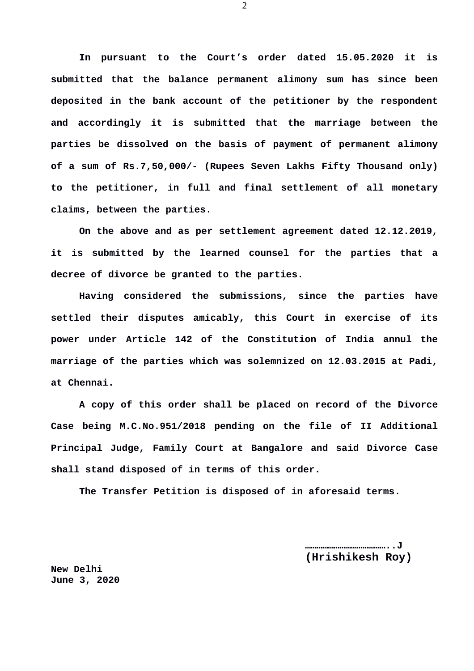**In pursuant to the Court's order dated 15.05.2020 it is submitted that the balance permanent alimony sum has since been deposited in the bank account of the petitioner by the respondent and accordingly it is submitted that the marriage between the parties be dissolved on the basis of payment of permanent alimony of a sum of Rs.7,50,000/- (Rupees Seven Lakhs Fifty Thousand only) to the petitioner, in full and final settlement of all monetary claims, between the parties.**

**On the above and as per settlement agreement dated 12.12.2019, it is submitted by the learned counsel for the parties that a decree of divorce be granted to the parties.**

**Having considered the submissions, since the parties have settled their disputes amicably, this Court in exercise of its power under Article 142 of the Constitution of India annul the marriage of the parties which was solemnized on 12.03.2015 at Padi, at Chennai.**

**A copy of this order shall be placed on record of the Divorce Case being M.C.No.951/2018 pending on the file of II Additional Principal Judge, Family Court at Bangalore and said Divorce Case shall stand disposed of in terms of this order.**

**The Transfer Petition is disposed of in aforesaid terms.**

**……………………………………..J (Hrishikesh Roy)**

**New Delhi June 3, 2020** 2